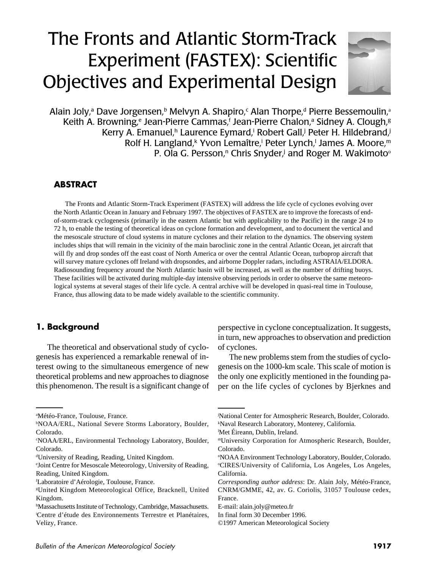# The Fronts and Atlantic Storm-Track Experiment (FASTEX): Scientific Objectives and Experimental Design



# **ABSTRACT**

The Fronts and Atlantic Storm-Track Experiment (FASTEX) will address the life cycle of cyclones evolving over the North Atlantic Ocean in January and February 1997. The objectives of FASTEX are to improve the forecasts of endof-storm-track cyclogenesis (primarily in the eastern Atlantic but with applicability to the Pacific) in the range 24 to 72 h, to enable the testing of theoretical ideas on cyclone formation and development, and to document the vertical and the mesoscale structure of cloud systems in mature cyclones and their relation to the dynamics. The observing system includes ships that will remain in the vicinity of the main baroclinic zone in the central Atlantic Ocean, jet aircraft that will fly and drop sondes off the east coast of North America or over the central Atlantic Ocean, turboprop aircraft that will survey mature cyclones off Ireland with dropsondes, and airborne Doppler radars, including ASTRAIA/ELDORA. Radiosounding frequency around the North Atlantic basin will be increased, as well as the number of drifting buoys. These facilities will be activated during multiple-day intensive observing periods in order to observe the same meteorological systems at several stages of their life cycle. A central archive will be developed in quasi-real time in Toulouse, France, thus allowing data to be made widely available to the scientific community.

# **1. Background**

The theoretical and observational study of cyclogenesis has experienced a remarkable renewal of interest owing to the simultaneous emergence of new theoretical problems and new approaches to diagnose this phenomenon. The result is a significant change of perspective in cyclone conceptualization. It suggests, in turn, new approaches to observation and prediction of cyclones.

The new problems stem from the studies of cyclogenesis on the 1000-km scale. This scale of motion is the only one explicitly mentioned in the founding paper on the life cycles of cyclones by Bjerknes and

a Météo-France, Toulouse, France.

b NOAA/ERL, National Severe Storms Laboratory, Boulder, Colorado.

c NOAA/ERL, Environmental Technology Laboratory, Boulder, Colorado.

d University of Reading, Reading, United Kingdom.

e Joint Centre for Mesoscale Meteorology, University of Reading, Reading, United Kingdom.

f Laboratoire d'Aérologie, Toulouse, France.

g United Kingdom Meteorological Office, Bracknell, United Kingdom.

hMassachusetts Institute of Technology, Cambridge, Massachusetts. i Centre d'étude des Environnements Terrestre et Planétaires, Velizy, France.

j National Center for Atmospheric Research, Boulder, Colorado. k Naval Research Laboratory, Monterey, California.

l Met Éireann, Dublin, Ireland.

mUniversity Corporation for Atmospheric Research, Boulder, Colorado.

n NOAA Environment Technology Laboratory, Boulder, Colorado. <sup>o</sup>CIRES/University of California, Los Angeles, Los Angeles, California.

*Corresponding author address*: Dr. Alain Joly, Météo-France, CNRM/GMME, 42, av. G. Coriolis, 31057 Toulouse cedex, France.

E-mail: alain.joly@meteo.fr

In final form 30 December 1996.

<sup>©1997</sup> American Meteorological Society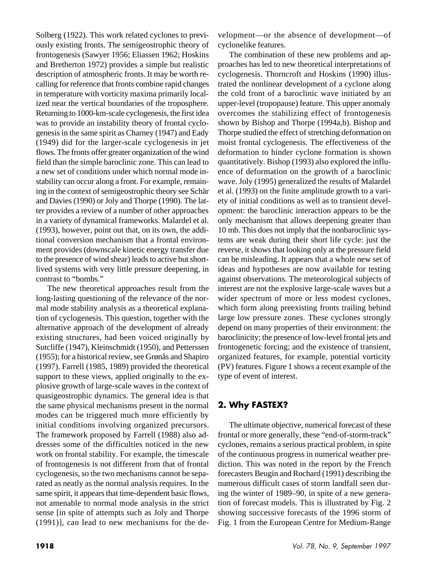Solberg (1922). This work related cyclones to previously existing fronts. The semigeostrophic theory of frontogenesis (Sawyer 1956; Eliassen 1962; Hoskins and Bretherton 1972) provides a simple but realistic description of atmospheric fronts. It may be worth recalling for reference that fronts combine rapid changes in temperature with vorticity maxima primarily localized near the vertical boundaries of the troposphere. Returning to 1000-km-scale cyclogenesis, the first idea was to provide an instability theory of frontal cyclogenesis in the same spirit as Charney (1947) and Eady (1949) did for the larger-scale cyclogenesis in jet flows. The fronts offer greater organization of the wind field than the simple baroclinic zone. This can lead to a new set of conditions under which normal mode instability can occur along a front. For example, remaining in the context of semigeostrophic theory see Schär and Davies (1990) or Joly and Thorpe (1990). The latter provides a review of a number of other approaches in a variety of dynamical frameworks. Malardel et al. (1993), however, point out that, on its own, the additional conversion mechanism that a frontal environment provides (downscale kinetic energy transfer due to the presence of wind shear) leads to active but shortlived systems with very little pressure deepening, in contrast to "bombs."

The new theoretical approaches result from the long-lasting questioning of the relevance of the normal mode stability analysis as a theoretical explanation of cyclogenesis. This question, together with the alternative approach of the development of already existing structures, had been voiced originally by Sutcliffe (1947), Kleinschmidt (1950), and Petterssen (1955); for a historical review, see Grønås and Shapiro (1997). Farrell (1985, 1989) provided the theoretical support to these views, applied originally to the explosive growth of large-scale waves in the context of quasigeostrophic dynamics. The general idea is that the same physical mechanisms present in the normal modes can be triggered much more efficiently by initial conditions involving organized precursors. The framework proposed by Farrell (1988) also addresses some of the difficulties noticed in the new work on frontal stability. For example, the timescale of frontogenesis is not different from that of frontal cyclogenesis, so the two mechanisms cannot be separated as neatly as the normal analysis requires. In the same spirit, it appears that time-dependent basic flows, not amenable to normal mode analysis in the strict sense [in spite of attempts such as Joly and Thorpe (1991)], can lead to new mechanisms for the development—or the absence of development—of cyclonelike features.

The combination of these new problems and approaches has led to new theoretical interpretations of cyclogenesis. Thorncroft and Hoskins (1990) illustrated the nonlinear development of a cyclone along the cold front of a baroclinic wave initiated by an upper-level (tropopause) feature. This upper anomaly overcomes the stabilizing effect of frontogenesis shown by Bishop and Thorpe (1994a,b). Bishop and Thorpe studied the effect of stretching deformation on moist frontal cyclogenesis. The effectiveness of the deformation to hinder cyclone formation is shown quantitatively. Bishop (1993) also explored the influence of deformation on the growth of a baroclinic wave. Joly (1995) generalized the results of Malardel et al. (1993) on the finite amplitude growth to a variety of initial conditions as well as to transient development: the baroclinic interaction appears to be the only mechanism that allows deepening greater than 10 mb. This does not imply that the nonbaroclinic systems are weak during their short life cycle: just the reverse, it shows that looking only at the pressure field can be misleading. It appears that a whole new set of ideas and hypotheses are now available for testing against observations. The meteorological subjects of interest are not the explosive large-scale waves but a wider spectrum of more or less modest cyclones, which form along preexisting fronts trailing behind large low pressure zones. These cyclones strongly depend on many properties of their environment: the baroclinicity; the presence of low-level frontal jets and frontogenetic forcing; and the existence of transient, organized features, for example, potential vorticity (PV) features. Figure 1 shows a recent example of the type of event of interest.

# **2. Why FASTEX?**

The ultimate objective, numerical forecast of these frontal or more generally, these "end-of-storm-track" cyclones, remains a serious practical problem, in spite of the continuous progress in numerical weather prediction. This was noted in the report by the French forecasters Beugin and Rochard (1991) describing the numerous difficult cases of storm landfall seen during the winter of 1989–90, in spite of a new generation of forecast models. This is illustrated by Fig. 2 showing successive forecasts of the 1996 storm of Fig. 1 from the European Centre for Medium-Range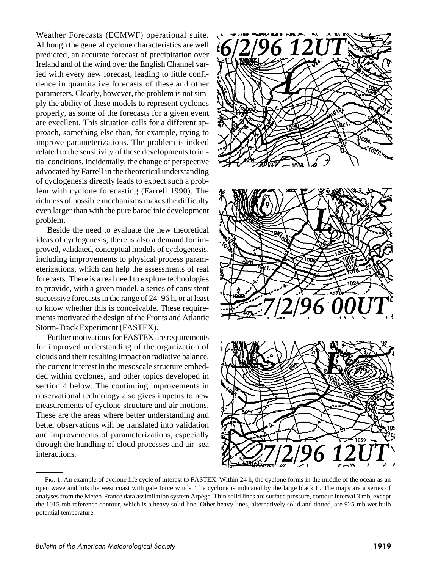Weather Forecasts (ECMWF) operational suite. Although the general cyclone characteristics are well predicted, an accurate forecast of precipitation over Ireland and of the wind over the English Channel varied with every new forecast, leading to little confidence in quantitative forecasts of these and other parameters. Clearly, however, the problem is not simply the ability of these models to represent cyclones properly, as some of the forecasts for a given event are excellent. This situation calls for a different approach, something else than, for example, trying to improve parameterizations. The problem is indeed related to the sensitivity of these developments to initial conditions. Incidentally, the change of perspective advocated by Farrell in the theoretical understanding of cyclogenesis directly leads to expect such a problem with cyclone forecasting (Farrell 1990). The richness of possible mechanisms makes the difficulty even larger than with the pure baroclinic development problem.

Beside the need to evaluate the new theoretical ideas of cyclogenesis, there is also a demand for improved, validated, conceptual models of cyclogenesis, including improvements to physical process parameterizations, which can help the assessments of real forecasts. There is a real need to explore technologies to provide, with a given model, a series of consistent successive forecasts in the range of 24–96 h, or at least to know whether this is conceivable. These requirements motivated the design of the Fronts and Atlantic Storm-Track Experiment (FASTEX).

Further motivations for FASTEX are requirements for improved understanding of the organization of clouds and their resulting impact on radiative balance, the current interest in the mesoscale structure embedded within cyclones, and other topics developed in section 4 below. The continuing improvements in observational technology also gives impetus to new measurements of cyclone structure and air motions. These are the areas where better understanding and better observations will be translated into validation and improvements of parameterizations, especially through the handling of cloud processes and air–sea interactions.



FIG. 1. An example of cyclone life cycle of interest to FASTEX. Within 24 h, the cyclone forms in the middle of the ocean as an open wave and hits the west coast with gale force winds. The cyclone is indicated by the large black L. The maps are a series of analyses from the Météo-France data assimilation system Arpège. Thin solid lines are surface pressure, contour interval 3 mb, except the 1015-mb reference contour, which is a heavy solid line. Other heavy lines, alternatively solid and dotted, are 925-mb wet bulb potential temperature.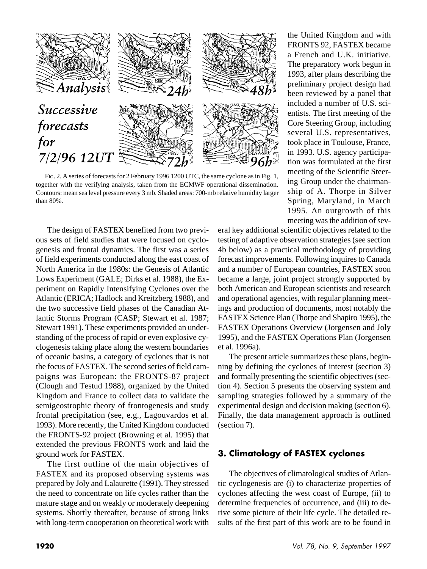

FIG. 2. A series of forecasts for 2 February 1996 1200 UTC, the same cyclone as in Fig. 1, together with the verifying analysis, taken from the ECMWF operational dissemination. Contours: mean sea level pressure every 3 mb. Shaded areas: 700-mb relative humidity larger than 80%.

The design of FASTEX benefited from two previous sets of field studies that were focused on cyclogenesis and frontal dynamics. The first was a series of field experiments conducted along the east coast of North America in the 1980s: the Genesis of Atlantic Lows Experiment (GALE; Dirks et al. 1988), the Experiment on Rapidly Intensifying Cyclones over the Atlantic (ERICA; Hadlock and Kreitzberg 1988), and the two successive field phases of the Canadian Atlantic Storms Program (CASP; Stewart et al. 1987; Stewart 1991). These experiments provided an understanding of the process of rapid or even explosive cyclogenesis taking place along the western boundaries of oceanic basins, a category of cyclones that is not the focus of FASTEX. The second series of field campaigns was European: the FRONTS-87 project (Clough and Testud 1988), organized by the United Kingdom and France to collect data to validate the semigeostrophic theory of frontogenesis and study frontal precipitation (see, e.g., Lagouvardos et al. 1993). More recently, the United Kingdom conducted the FRONTS-92 project (Browning et al. 1995) that extended the previous FRONTS work and laid the ground work for FASTEX.

The first outline of the main objectives of FASTEX and its proposed observing systems was prepared by Joly and Lalaurette (1991). They stressed the need to concentrate on life cycles rather than the mature stage and on weakly or moderately deepening systems. Shortly thereafter, because of strong links with long-term coooperation on theoretical work with

the United Kingdom and with FRONTS 92, FASTEX became a French and U.K. initiative. The preparatory work begun in 1993, after plans describing the preliminary project design had been reviewed by a panel that included a number of U.S. scientists. The first meeting of the Core Steering Group, including several U.S. representatives, took place in Toulouse, France, in 1993. U.S. agency participation was formulated at the first meeting of the Scientific Steering Group under the chairmanship of A. Thorpe in Silver Spring, Maryland, in March 1995. An outgrowth of this meeting was the addition of sev-

eral key additional scientific objectives related to the testing of adaptive observation strategies (see section 4b below) as a practical methodology of providing forecast improvements. Following inquires to Canada and a number of European countries, FASTEX soon became a large, joint project strongly supported by both American and European scientists and research and operational agencies, with regular planning meetings and production of documents, most notably the FASTEX Science Plan (Thorpe and Shapiro 1995), the FASTEX Operations Overview (Jorgensen and Joly 1995), and the FASTEX Operations Plan (Jorgensen et al. 1996a).

The present article summarizes these plans, beginning by defining the cyclones of interest (section 3) and formally presenting the scientific objectives (section 4). Section 5 presents the observing system and sampling strategies followed by a summary of the experimental design and decision making (section 6). Finally, the data management approach is outlined (section 7).

# **3. Climatology of FASTEX cyclones**

The objectives of climatological studies of Atlantic cyclogenesis are (i) to characterize properties of cyclones affecting the west coast of Europe, (ii) to determine frequencies of occurrence, and (iii) to derive some picture of their life cycle. The detailed results of the first part of this work are to be found in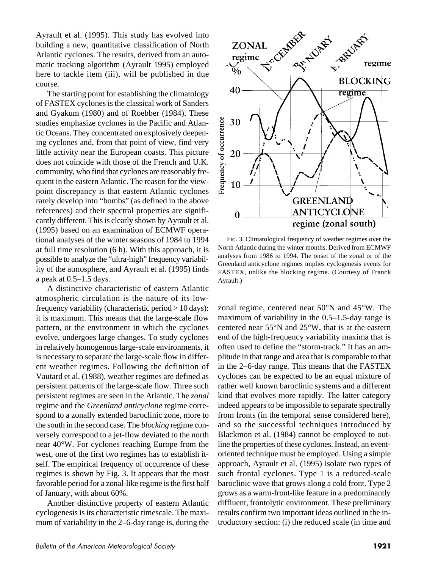Ayrault et al. (1995). This study has evolved into building a new, quantitative classification of North Atlantic cyclones. The results, derived from an automatic tracking algorithm (Ayrault 1995) employed here to tackle item (iii), will be published in due course.

The starting point for establishing the climatology of FASTEX cyclones is the classical work of Sanders and Gyakum (1980) and of Roebber (1984). These studies emphasize cyclones in the Pacific and Atlantic Oceans. They concentrated on explosively deepening cyclones and, from that point of view, find very little activity near the European coasts. This picture does not coincide with those of the French and U.K. community, who find that cyclones are reasonably frequent in the eastern Atlantic. The reason for the viewpoint discrepancy is that eastern Atlantic cyclones rarely develop into "bombs" (as defined in the above references) and their spectral properties are significantly different. This is clearly shown by Ayrault et al. (1995) based on an examination of ECMWF operational analyses of the winter seasons of 1984 to 1994 at full time resolution (6 h). With this approach, it is possible to analyze the "ultra-high" frequency variability of the atmosphere, and Ayrault et al. (1995) finds a peak at 0.5–1.5 days.

A distinctive characteristic of eastern Atlantic atmospheric circulation is the nature of its lowfrequency variability (characteristic period > 10 days): it is maximum. This means that the large-scale flow pattern, or the environment in which the cyclones evolve, undergoes large changes. To study cyclones in relatively homogenous large-scale environments, it is necessary to separate the large-scale flow in different weather regimes. Following the definition of Vautard et al. (1988), weather regimes are defined as persistent patterns of the large-scale flow. Three such persistent regimes are seen in the Atlantic. The *zonal* regime and the *Greenland anticyclone* regime correspond to a zonally extended baroclinic zone, more to the south in the second case. The *blocking* regime conversely correspond to a jet-flow deviated to the north near 40°W. For cyclones reaching Europe from the west, one of the first two regimes has to establish itself. The empirical frequency of occurrence of these regimes is shown by Fig. 3. It appears that the most favorable period for a zonal-like regime is the first half of January, with about 60%.

Another distinctive property of eastern Atlantic cyclogenesis is its characteristic timescale. The maximum of variability in the 2–6-day range is, during the



FIG. 3. Climatological frequency of weather regimes over the North Atlantic during the winter months. Derived from ECMWF analyses from 1986 to 1994. The onset of the zonal or of the Greenland anticyclone regimes implies cyclogenesis events for FASTEX, unlike the blocking regime. (Courtesy of Franck Ayrault.)

zonal regime, centered near 50°N and 45°W. The maximum of variability in the 0.5–1.5-day range is centered near 55°N and 25°W, that is at the eastern end of the high-frequency variability maxima that is often used to define the "storm-track." It has an amplitude in that range and area that is comparable to that in the 2–6-day range. This means that the FASTEX cyclones can be expected to be an equal mixture of rather well known baroclinic systems and a different kind that evolves more rapidly. The latter category indeed appears to be impossible to separate spectrally from fronts (in the temporal sense considered here), and so the successful techniques introduced by Blackmon et al. (1984) cannot be employed to outline the properties of these cyclones. Instead, an eventoriented technique must be employed. Using a simple approach, Ayrault et al. (1995) isolate two types of such frontal cyclones. Type 1 is a reduced-scale baroclinic wave that grows along a cold front. Type 2 grows as a warm-front-like feature in a predominantly diffluent, frontolytic environment. These preliminary results confirm two important ideas outlined in the introductory section: (i) the reduced scale (in time and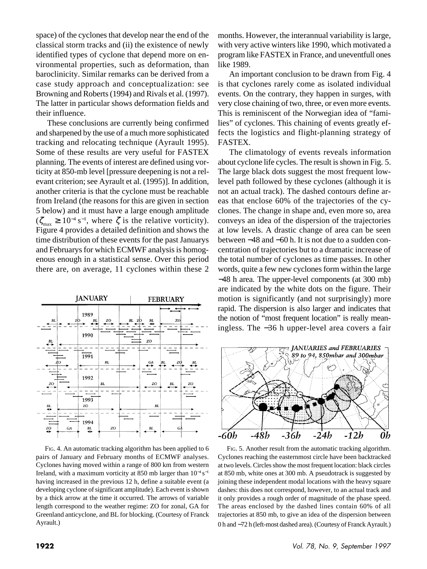space) of the cyclones that develop near the end of the classical storm tracks and (ii) the existence of newly identified types of cyclone that depend more on environmental properties, such as deformation, than baroclinicity. Similar remarks can be derived from a case study approach and conceptualization: see Browning and Roberts (1994) and Rivals et al. (1997). The latter in particular shows deformation fields and their influence.

These conclusions are currently being confirmed and sharpened by the use of a much more sophisticated tracking and relocating technique (Ayrault 1995). Some of these results are very useful for FASTEX planning. The events of interest are defined using vorticity at 850-mb level [pressure deepening is not a relevant criterion; see Ayrault et al. (1995)]. In addition, another criteria is that the cyclone must be reachable from Ireland (the reasons for this are given in section 5 below) and it must have a large enough amplitude  $(\zeta_{\text{max}} \ge 10^{-4} \text{ s}^{-1}, \text{ where } \zeta \text{ is the relative vorticity}).$ Figure 4 provides a detailed definition and shows the time distribution of these events for the past Januarys and Februarys for which ECMWF analysis is homogenous enough in a statistical sense. Over this period there are, on average, 11 cyclones within these 2



FIG. 4. An automatic tracking algorithm has been applied to 6 pairs of January and February months of ECMWF analyses. Cyclones having moved within a range of 800 km from western Ireland, with a maximum vorticity at 850 mb larger than  $10^{-4}$  s<sup>-1</sup> having increased in the previous 12 h, define a suitable event (a developing cyclone of significant amplitude). Each event is shown by a thick arrow at the time it occurred. The arrows of variable length correspond to the weather regime: ZO for zonal, GA for Greenland anticyclone, and BL for blocking. (Courtesy of Franck Ayrault.)

months. However, the interannual variability is large, with very active winters like 1990, which motivated a program like FASTEX in France, and uneventfull ones like 1989.

An important conclusion to be drawn from Fig. 4 is that cyclones rarely come as isolated individual events. On the contrary, they happen in surges, with very close chaining of two, three, or even more events. This is reminiscent of the Norwegian idea of "families" of cyclones. This chaining of events greatly effects the logistics and flight-planning strategy of FASTEX.

The climatology of events reveals information about cyclone life cycles. The result is shown in Fig. 5. The large black dots suggest the most frequent lowlevel path followed by these cyclones (although it is not an actual track). The dashed contours define areas that enclose 60% of the trajectories of the cyclones. The change in shape and, even more so, area conveys an idea of the dispersion of the trajectories at low levels. A drastic change of area can be seen between −48 and −60 h. It is not due to a sudden concentration of trajectories but to a dramatic increase of the total number of cyclones as time passes. In other words, quite a few new cyclones form within the large −48 h area. The upper-level components (at 300 mb) −48 h area. The upper-level components (at 300 mb) are indicated by the white dots on the figure. Their motion is significantly (and not surprisingly) more rapid. The dispersion is also larger and indicates that the notion of "most frequent location" is really meaningless. The −36 h upper-level area covers a fair are indicated by the white dots on the figure. Their motion is significantly (and not surprisingly) more rapid. The dispersion is also larger and indicates that



FIG. 5. Another result from the automatic tracking algorithm. Cyclones reaching the easternmost circle have been backtracked at two levels. Circles show the most frequent location: black circles at 850 mb, white ones at 300 mb. A pseudotrack is suggested by joining these independent modal locations with the heavy square dashes: this does not correspond, however, to an actual track and it only provides a rough order of magnitude of the phase speed. The areas enclosed by the dashed lines contain 60% of all trajectories at 850 mb, to give an idea of the dispersion between 0 h and −72 h (left-most dashed area). (Courtesy of Franck Ayrault.)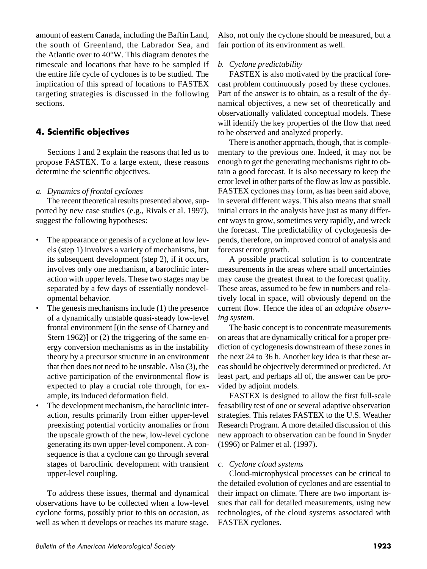amount of eastern Canada, including the Baffin Land, the south of Greenland, the Labrador Sea, and the Atlantic over to 40°W. This diagram denotes the timescale and locations that have to be sampled if the entire life cycle of cyclones is to be studied. The implication of this spread of locations to FASTEX targeting strategies is discussed in the following sections.

# **4. Scientific objectives**

Sections 1 and 2 explain the reasons that led us to propose FASTEX. To a large extent, these reasons determine the scientific objectives.

# *a. Dynamics of frontal cyclones*

The recent theoretical results presented above, supported by new case studies (e.g., Rivals et al. 1997), suggest the following hypotheses:

- The appearance or genesis of a cyclone at low levels (step 1) involves a variety of mechanisms, but its subsequent development (step 2), if it occurs, involves only one mechanism, a baroclinic interaction with upper levels. These two stages may be separated by a few days of essentially nondevelopmental behavior.
- The genesis mechanisms include (1) the presence of a dynamically unstable quasi-steady low-level frontal environment [(in the sense of Charney and Stern 1962)] or (2) the triggering of the same energy conversion mechanisms as in the instability theory by a precursor structure in an environment that then does not need to be unstable. Also (3), the active participation of the environmental flow is expected to play a crucial role through, for example, its induced deformation field.
- The development mechanism, the baroclinic interaction, results primarily from either upper-level preexisting potential vorticity anomalies or from the upscale growth of the new, low-level cyclone generating its own upper-level component. A consequence is that a cyclone can go through several stages of baroclinic development with transient upper-level coupling.

To address these issues, thermal and dynamical observations have to be collected when a low-level cyclone forms, possibly prior to this on occasion, as well as when it develops or reaches its mature stage. Also, not only the cyclone should be measured, but a fair portion of its environment as well.

# *b. Cyclone predictability*

FASTEX is also motivated by the practical forecast problem continuously posed by these cyclones. Part of the answer is to obtain, as a result of the dynamical objectives, a new set of theoretically and observationally validated conceptual models. These will identify the key properties of the flow that need to be observed and analyzed properly.

There is another approach, though, that is complementary to the previous one. Indeed, it may not be enough to get the generating mechanisms right to obtain a good forecast. It is also necessary to keep the error level in other parts of the flow as low as possible. FASTEX cyclones may form, as has been said above, in several different ways. This also means that small initial errors in the analysis have just as many different ways to grow, sometimes very rapidly, and wreck the forecast. The predictability of cyclogenesis depends, therefore, on improved control of analysis and forecast error growth.

A possible practical solution is to concentrate measurements in the areas where small uncertainties may cause the greatest threat to the forecast quality. These areas, assumed to be few in numbers and relatively local in space, will obviously depend on the current flow. Hence the idea of an *adaptive observing system.*

The basic concept is to concentrate measurements on areas that are dynamically critical for a proper prediction of cyclogenesis downstream of these zones in the next 24 to 36 h. Another key idea is that these areas should be objectively determined or predicted. At least part, and perhaps all of, the answer can be provided by adjoint models.

FASTEX is designed to allow the first full-scale feasability test of one or several adaptive observation strategies. This relates FASTEX to the U.S. Weather Research Program. A more detailed discussion of this new approach to observation can be found in Snyder (1996) or Palmer et al. (1997).

# *c. Cyclone cloud systems*

Cloud-microphysical processes can be critical to the detailed evolution of cyclones and are essential to their impact on climate. There are two important issues that call for detailed measurements, using new technologies, of the cloud systems associated with FASTEX cyclones.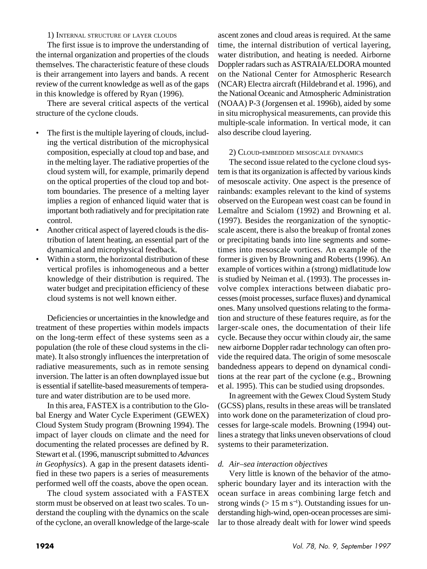#### 1) INTERNAL STRUCTURE OF LAYER CLOUDS

The first issue is to improve the understanding of the internal organization and properties of the clouds themselves. The characteristic feature of these clouds is their arrangement into layers and bands. A recent review of the current knowledge as well as of the gaps in this knowledge is offered by Ryan (1996).

There are several critical aspects of the vertical structure of the cyclone clouds.

- The first is the multiple layering of clouds, including the vertical distribution of the microphysical composition, especially at cloud top and base, and in the melting layer. The radiative properties of the cloud system will, for example, primarily depend on the optical properties of the cloud top and bottom boundaries. The presence of a melting layer implies a region of enhanced liquid water that is important both radiatively and for precipitation rate control.
- Another critical aspect of layered clouds is the distribution of latent heating, an essential part of the dynamical and microphysical feedback.
- Within a storm, the horizontal distribution of these vertical profiles is inhomogeneous and a better knowledge of their distribution is required. The water budget and precipitation efficiency of these cloud systems is not well known either.

Deficiencies or uncertainties in the knowledge and treatment of these properties within models impacts on the long-term effect of these systems seen as a population (the role of these cloud systems in the climate). It also strongly influences the interpretation of radiative measurements, such as in remote sensing inversion. The latter is an often downplayed issue but is essential if satellite-based measurements of temperature and water distribution are to be used more.

In this area, FASTEX is a contribution to the Global Energy and Water Cycle Experiment (GEWEX) Cloud System Study program (Browning 1994). The impact of layer clouds on climate and the need for documenting the related processes are defined by R. Stewart et al. (1996, manuscript submitted to *Advances in Geophysics*). A gap in the present datasets identified in these two papers is a series of measurements performed well off the coasts, above the open ocean.

The cloud system associated with a FASTEX storm must be observed on at least two scales. To understand the coupling with the dynamics on the scale of the cyclone, an overall knowledge of the large-scale ascent zones and cloud areas is required. At the same time, the internal distribution of vertical layering, water distribution, and heating is needed. Airborne Doppler radars such as ASTRAIA/ELDORA mounted on the National Center for Atmospheric Research (NCAR) Electra aircraft (Hildebrand et al. 1996), and the National Oceanic and Atmospheric Administration (NOAA) P-3 (Jorgensen et al. 1996b), aided by some in situ microphysical measurements, can provide this multiple-scale information. In vertical mode, it can also describe cloud layering.

# 2) CLOUD-EMBEDDED MESOSCALE DYNAMICS

The second issue related to the cyclone cloud system is that its organization is affected by various kinds of mesoscale activity. One aspect is the presence of rainbands: examples relevant to the kind of systems observed on the European west coast can be found in Lemaître and Scialom (1992) and Browning et al. (1997). Besides the reorganization of the synopticscale ascent, there is also the breakup of frontal zones or precipitating bands into line segments and sometimes into mesoscale vortices. An example of the former is given by Browning and Roberts (1996). An example of vortices within a (strong) midlatitude low is studied by Neiman et al. (1993). The processes involve complex interactions between diabatic processes (moist processes, surface fluxes) and dynamical ones. Many unsolved questions relating to the formation and structure of these features require, as for the larger-scale ones, the documentation of their life cycle. Because they occur within cloudy air, the same new airborne Doppler radar technology can often provide the required data. The origin of some mesoscale bandedness appears to depend on dynamical conditions at the rear part of the cyclone (e.g., Browning et al. 1995). This can be studied using dropsondes.

In agreement with the Gewex Cloud System Study (GCSS) plans, results in these areas will be translated into work done on the parameterization of cloud processes for large-scale models. Browning (1994) outlines a strategy that links uneven observations of cloud systems to their parameterization.

# *d. Air–sea interaction objectives*

Very little is known of the behavior of the atmospheric boundary layer and its interaction with the ocean surface in areas combining large fetch and strong winds  $($  > 15 m s<sup>-1</sup> $)$ . Outstanding issues for understanding high-wind, open-ocean processes are similar to those already dealt with for lower wind speeds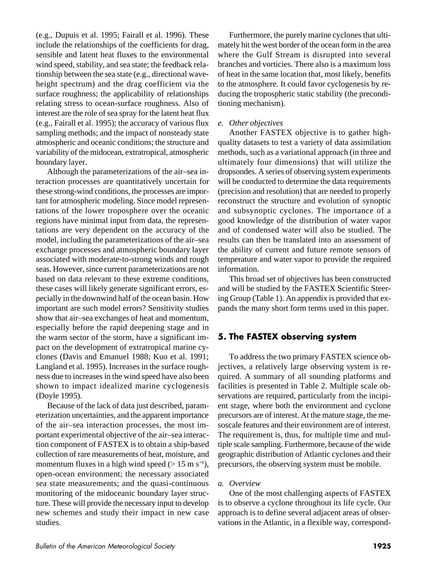(e.g., Dupuis et al. 1995; Fairall et al. 1996). These include the relationships of the coefficients for drag, sensible and latent heat fluxes to the environmental wind speed, stability, and sea state; the feedback relationship between the sea state (e.g., directional waveheight spectrum) and the drag coefficient via the surface roughness; the applicability of relationships relating stress to ocean-surface roughness. Also of interest are the role of sea spray for the latent heat flux (e.g., Fairall et al. 1995); the accuracy of various flux sampling methods; and the impact of nonsteady state atmospheric and oceanic conditions; the structure and variability of the midocean, extratropical, atmospheric boundary layer.

Although the parameterizations of the air–sea interaction processes are quantitatively uncertain for these strong-wind conditions, the processes are important for atmospheric modeling. Since model representations of the lower troposphere over the oceanic regions have minimal input from data, the representations are very dependent on the accuracy of the model, including the parameterizations of the air–sea exchange processes and atmospheric boundary layer associated with moderate-to-strong winds and rough seas. However, since current parameterizations are not based on data relevant to these extreme conditions, these cases will likely generate significant errors, especially in the downwind half of the ocean basin. How important are such model errors? Sensitivity studies show that air–sea exchanges of heat and momentum, especially before the rapid deepening stage and in the warm sector of the storm, have a significant impact on the development of extratropical marine cyclones (Davis and Emanuel 1988; Kuo et al. 1991; Langland et al. 1995). Increases in the surface roughness due to increases in the wind speed have also been shown to impact idealized marine cyclogenesis (Doyle 1995).

Because of the lack of data just described, parameterization uncertainties, and the apparent importance of the air–sea interaction processes, the most important experimental objective of the air–sea interaction component of FASTEX is to obtain a ship-based collection of rare measurements of heat, moisture, and momentum fluxes in a high wind speed  $(> 15 \text{ m s}^{-1})$ , open-ocean environment; the necessary associated sea state measurements; and the quasi-continuous monitoring of the midoceanic boundary layer structure. These will provide the necessary input to develop new schemes and study their impact in new case studies.

Furthermore, the purely marine cyclones that ultimately hit the west border of the ocean form in the area where the Gulf Stream is disrupted into several branches and vorticies. There also is a maximum loss of heat in the same location that, most likely, benefits to the atmosphere. It could favor cyclogenesis by reducing the tropospheric static stability (the preconditioning mechanism).

# *e. Other objectives*

Another FASTEX objective is to gather highquality datasets to test a variety of data assimilation methods, such as a variational approach (in three and ultimately four dimensions) that will utilize the dropsondes. A series of observing system experiments will be conducted to determine the data requirements (precision and resolution) that are needed to properly reconstruct the structure and evolution of synoptic and subsynoptic cyclones. The importance of a good knowledge of the distribution of water vapor and of condensed water will also be studied. The results can then be translated into an assessment of the ability of current and future remote sensors of temperature and water vapor to provide the required information.

This broad set of objectives has been constructed and will be studied by the FASTEX Scientific Steering Group (Table 1). An appendix is provided that expands the many short form terms used in this paper.

# **5. The FASTEX observing system**

To address the two primary FASTEX science objectives, a relatively large observing system is required. A summary of all sounding platforms and facilities is presented in Table 2. Multiple scale observations are required, particularly from the incipient stage, where both the environment and cyclone precursors are of interest. At the mature stage, the mesoscale features and their environment are of interest. The requirement is, thus, for multiple time and multiple scale sampling. Furthermore, because of the wide geographic distribution of Atlantic cyclones and their precursors, the observing system must be mobile.

# *a. Overview*

One of the most challenging aspects of FASTEX is to observe a cyclone throughout its life cycle. Our approach is to define several adjacent areas of observations in the Atlantic, in a flexible way, correspond-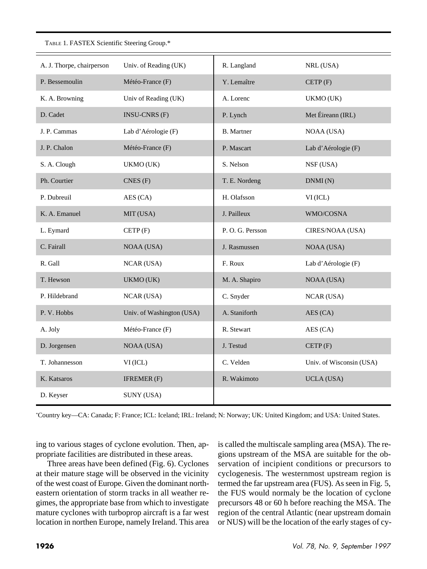| A. J. Thorpe, chairperson | Univ. of Reading (UK)     | R. Langland       | NRL (USA)                |
|---------------------------|---------------------------|-------------------|--------------------------|
| P. Bessemoulin            | Météo-France (F)          | Y. Lemaître       | CETP(F)                  |
| K. A. Browning            | Univ of Reading (UK)      | A. Lorenc         | UKMO (UK)                |
| D. Cadet                  | <b>INSU-CNRS</b> (F)      | P. Lynch          | Met Éireann (IRL)        |
| J. P. Cammas              | Lab d'Aérologie (F)       | <b>B.</b> Martner | NOAA (USA)               |
| J. P. Chalon              | Météo-France (F)          | P. Mascart        | Lab d'Aérologie (F)      |
| S. A. Clough              | UKMO (UK)                 | S. Nelson         | NSF (USA)                |
| Ph. Courtier              | CNES(F)                   | T. E. Nordeng     | DNMI(N)                  |
| P. Dubreuil               | AES (CA)                  | H. Olafsson       | VI (ICL)                 |
| K. A. Emanuel             | MIT (USA)                 | J. Pailleux       | WMO/COSNA                |
| L. Eymard                 | CETP(F)                   | P.O.G. Persson    | CIRES/NOAA (USA)         |
| C. Fairall                | NOAA (USA)                | J. Rasmussen      | <b>NOAA</b> (USA)        |
| R. Gall                   | NCAR (USA)                | F. Roux           | Lab d'Aérologie (F)      |
| T. Hewson                 | UKMO (UK)                 | M. A. Shapiro     | NOAA (USA)               |
| P. Hildebrand             | NCAR (USA)                | C. Snyder         | NCAR (USA)               |
| P.V. Hobbs                | Univ. of Washington (USA) | A. Staniforth     | AES (CA)                 |
| A. Joly                   | Météo-France (F)          | R. Stewart        | AES (CA)                 |
| D. Jorgensen              | NOAA (USA)                | J. Testud         | CETP(F)                  |
| T. Johannesson            | VI (ICL)                  | C. Velden         | Univ. of Wisconsin (USA) |
| K. Katsaros               | <b>IFREMER</b> (F)        | R. Wakimoto       | UCLA (USA)               |
| D. Keyser                 | SUNY (USA)                |                   |                          |

TABLE 1. FASTEX Scientific Steering Group.\*

\* Country key—CA: Canada; F: France; ICL: Iceland; IRL: Ireland; N: Norway; UK: United Kingdom; and USA: United States.

ing to various stages of cyclone evolution. Then, appropriate facilities are distributed in these areas.

Three areas have been defined (Fig. 6). Cyclones at their mature stage will be observed in the vicinity of the west coast of Europe. Given the dominant northeastern orientation of storm tracks in all weather regimes, the appropriate base from which to investigate mature cyclones with turboprop aircraft is a far west location in northen Europe, namely Ireland. This area is called the multiscale sampling area (MSA). The regions upstream of the MSA are suitable for the observation of incipient conditions or precursors to cyclogenesis. The westernmost upstream region is termed the far upstream area (FUS). As seen in Fig. 5, the FUS would normaly be the location of cyclone precursors 48 or 60 h before reaching the MSA. The region of the central Atlantic (near upstream domain or NUS) will be the location of the early stages of cy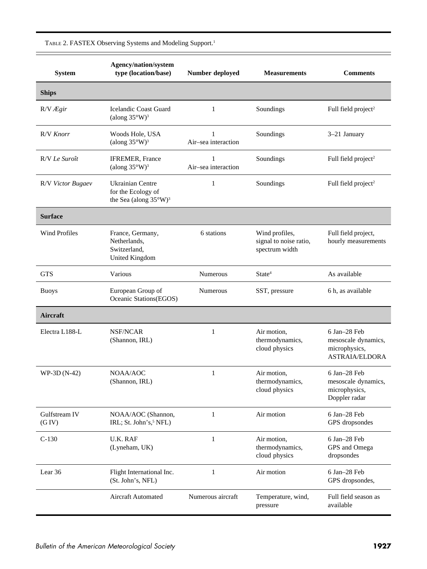**Ships** R/V *Ægir* Icelandic Coast Guard 1 Soundings Full field project<sup>2</sup> (along  $35^{\circ}$ W)<sup>3</sup> R/V *Knorr* Woods Hole, USA 1 Soundings 3–21 January  $(\text{along } 35^{\circ}W)^{3}$  Air–sea interaction R/V Le Suroît IFREMER, France 1 Soundings Full field project<sup>2</sup>  $(\text{along } 35^{\circ}W)^{3}$  Air–sea interaction R/V Victor Bugaev Ukrainian Centre 1 Soundings Full field project<sup>2</sup> for the Ecology of the Sea (along  $35^{\circ}$ W)<sup>3</sup> **Surface** Wind Profiles France, Germany, 6 stations Wind profiles, Full field project, Netherlands, signal to noise ratio, hourly measurements Switzerland, spectrum width United Kingdom GTS Various Various Numerous State<sup>4</sup> As available Buoys European Group of Numerous SST, pressure 6 h, as available Oceanic Stations(EGOS) **Aircraft** Electra L188-L NSF/NCAR 1 Air motion, 6 Jan–28 Feb (Shannon, IRL) thermodynamics, mesoscale dynamics, cloud physics microphysics, ASTRAIA/ELDORA WP-3D (N-42) NOAA/AOC 1 Air motion, 6 Jan–28 Feb (Shannon, IRL) thermodynamics, mesoscale dynamics, mesoscale dynamics, mesoscale dynamics, cloud physics microphysics, Doppler radar Gulfstream IV NOAA/AOC (Shannon, 1 Air motion 6 Jan–28 Feb  $(RL; St. John's<sub>1</sub><sup>5</sup> NFL)$ GPS dropsondes C-130 U.K. RAF 1 Air motion, 6 Jan–28 Feb (Lyneham, UK) thermodynamics, GPS and Omega cloud physics dropsondes Lear 36 Flight International Inc. 1 Air motion 6 Jan–28 Feb (St. John's, NFL) GPS dropsondes, Aircraft Automated Numerous aircraft Temperature, wind, Full field season as pressure available **Agency/nation/system System type (location/base) Number deployed Measurements Comments**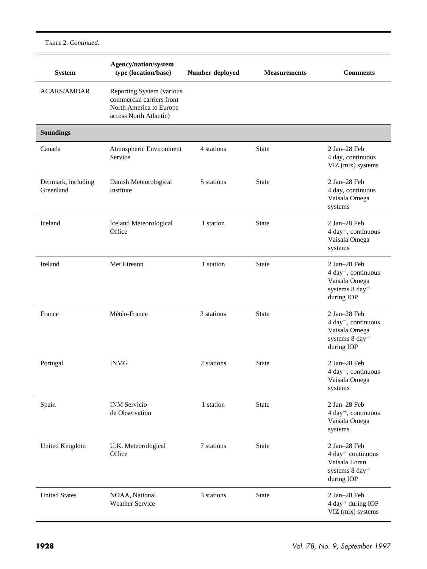TABLE 2. *Continued*.

| <b>System</b>                   | Agency/nation/system<br>type (location/base)                                                               | Number deployed | <b>Measurements</b> | <b>Comments</b>                                                                                                |
|---------------------------------|------------------------------------------------------------------------------------------------------------|-----------------|---------------------|----------------------------------------------------------------------------------------------------------------|
| <b>ACARS/AMDAR</b>              | Reporting System (various<br>commercial carriers from<br>North America to Europe<br>across North Atlantic) |                 |                     |                                                                                                                |
| <b>Soundings</b>                |                                                                                                            |                 |                     |                                                                                                                |
| Canada                          | Atmospheric Environment<br>Service                                                                         | 4 stations      | <b>State</b>        | 2 Jan-28 Feb<br>4 day, continuous<br>VIZ (mix) systems                                                         |
| Denmark, including<br>Greenland | Danish Meteorological<br>Institute                                                                         | 5 stations      | <b>State</b>        | 2 Jan-28 Feb<br>4 day, continuous<br>Vaisala Omega<br>systems                                                  |
| Iceland                         | Iceland Meteorological<br>Office                                                                           | 1 station       | <b>State</b>        | 2 Jan-28 Feb<br>4 day <sup>-1</sup> , continuous<br>Vaisala Omega<br>systems                                   |
| Ireland                         | Met Eireann                                                                                                | 1 station       | <b>State</b>        | 2 Jan-28 Feb<br>4 day <sup>-1</sup> , continuous<br>Vaisala Omega<br>systems 8 day <sup>-1</sup><br>during IOP |
| France                          | Météo-France                                                                                               | 3 stations      | <b>State</b>        | 2 Jan-28 Feb<br>4 day <sup>-1</sup> , continuous<br>Vaisala Omega<br>systems 8 day <sup>-1</sup><br>during IOP |
| Portugal                        | <b>INMG</b>                                                                                                | 2 stations      | <b>State</b>        | 2 Jan-28 Feb<br>4 day <sup>-1</sup> , continuous<br>Vaisala Omega<br>systems                                   |
| Spain                           | <b>INM Servicio</b><br>de Observation                                                                      | 1 station       | <b>State</b>        | 2 Jan-28 Feb<br>4 day <sup>-1</sup> , continuous<br>Vaisala Omega<br>systems                                   |
| <b>United Kingdom</b>           | U.K. Meteorological<br>Office                                                                              | 7 stations      | <b>State</b>        | 2 Jan-28 Feb<br>4 day <sup>-1</sup> continuous<br>Vaisala Loran<br>systems 8 day <sup>-1</sup><br>during IOP   |
| <b>United States</b>            | NOAA, National<br>Weather Service                                                                          | 3 stations      | <b>State</b>        | 2 Jan-28 Feb<br>4 day <sup>-1</sup> during IOP<br>VIZ (mix) systems                                            |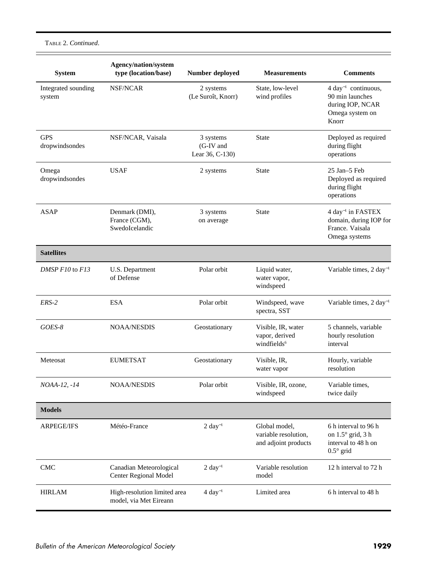TABLE 2. *Continued*.

| <b>System</b>                 | Agency/nation/system<br>type (location/base)           | Number deployed                           | <b>Measurements</b>                                             | <b>Comments</b>                                                                                    |
|-------------------------------|--------------------------------------------------------|-------------------------------------------|-----------------------------------------------------------------|----------------------------------------------------------------------------------------------------|
| Integrated sounding<br>system | <b>NSF/NCAR</b>                                        | 2 systems<br>(Le Suroît, Knorr)           | State, low-level<br>wind profiles                               | 4 day <sup>-1</sup> continuous,<br>90 min launches<br>during IOP, NCAR<br>Omega system on<br>Knorr |
| <b>GPS</b><br>dropwindsondes  | NSF/NCAR, Vaisala                                      | 3 systems<br>(G-IV and<br>Lear 36, C-130) | <b>State</b>                                                    | Deployed as required<br>during flight<br>operations                                                |
| Omega<br>dropwindsondes       | <b>USAF</b>                                            | 2 systems                                 | <b>State</b>                                                    | 25 Jan-5 Feb<br>Deployed as required<br>during flight<br>operations                                |
| <b>ASAP</b>                   | Denmark (DMI),<br>France (CGM),<br>SwedoIcelandic      | 3 systems<br>on average                   | <b>State</b>                                                    | 4 day <sup>-1</sup> in FASTEX<br>domain, during IOP for<br>France. Vaisala<br>Omega systems        |
| <b>Satellites</b>             |                                                        |                                           |                                                                 |                                                                                                    |
| DMSP $F10$ to $F13$           | U.S. Department<br>of Defense                          | Polar orbit                               | Liquid water,<br>water vapor,<br>windspeed                      | Variable times, $2 \text{ day}^{-1}$                                                               |
| ERS-2                         | <b>ESA</b>                                             | Polar orbit                               | Windspeed, wave<br>spectra, SST                                 | Variable times, 2 day <sup>-1</sup>                                                                |
| GOES-8                        | <b>NOAA/NESDIS</b>                                     | Geostationary                             | Visible, IR, water<br>vapor, derived<br>windfields <sup>6</sup> | 5 channels, variable<br>hourly resolution<br>interval                                              |
| Meteosat                      | <b>EUMETSAT</b>                                        | Geostationary                             | Visible, IR,<br>water vapor                                     | Hourly, variable<br>resolution                                                                     |
| NOAA-12, -14                  | <b>NOAA/NESDIS</b>                                     | Polar orbit                               | Visible, IR, ozone,<br>windspeed                                | Variable times,<br>twice daily                                                                     |
| <b>Models</b>                 |                                                        |                                           |                                                                 |                                                                                                    |
| <b>ARPEGE/IFS</b>             | Météo-France                                           | $2 \text{ day}^{-1}$                      | Global model,<br>variable resolution,<br>and adjoint products   | 6 h interval to 96 h<br>on $1.5^{\circ}$ grid, 3 h<br>interval to 48 h on<br>$0.5^\circ$ grid      |
| <b>CMC</b>                    | Canadian Meteorological<br>Center Regional Model       | $2 \text{ day}^{-1}$                      | Variable resolution<br>model                                    | 12 h interval to 72 h                                                                              |
| <b>HIRLAM</b>                 | High-resolution limited area<br>model, via Met Eireann | $4 \text{ day}^{-1}$                      | Limited area                                                    | 6 h interval to 48 h                                                                               |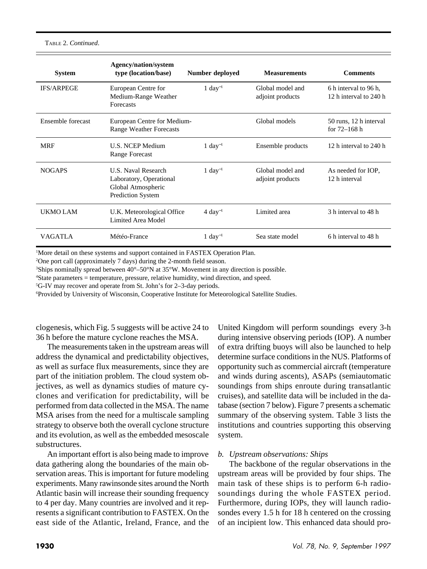TABLE 2. *Continued*.

| <b>System</b>     | <b>Agency/nation/system</b><br>type (location/base)                                              | Number deployed      | <b>Measurements</b>                  | <b>Comments</b>                                 |
|-------------------|--------------------------------------------------------------------------------------------------|----------------------|--------------------------------------|-------------------------------------------------|
| <b>IFS/ARPEGE</b> | European Centre for<br>Medium-Range Weather<br>Forecasts                                         | $1 \text{ day}^{-1}$ | Global model and<br>adjoint products | 6 h interval to 96 h,<br>12 h interval to 240 h |
| Ensemble forecast | European Centre for Medium-<br><b>Range Weather Forecasts</b>                                    |                      | Global models                        | 50 runs, 12 h interval<br>for $72 - 168$ h      |
| <b>MRF</b>        | U.S. NCEP Medium<br>Range Forecast                                                               | $1 \text{ day}^{-1}$ | Ensemble products                    | 12 h interval to 240 h                          |
| <b>NOGAPS</b>     | U.S. Naval Research<br>Laboratory, Operational<br>Global Atmospheric<br><b>Prediction System</b> | $1 \text{ day}^{-1}$ | Global model and<br>adjoint products | As needed for IOP,<br>12 h interval             |
| UKMO LAM          | U.K. Meteorological Office<br>Limited Area Model                                                 | $4 \text{ day}^{-1}$ | Limited area                         | 3 h interval to 48 h                            |
| <b>VAGATLA</b>    | Météo-France                                                                                     | $1 \text{ day}^{-1}$ | Sea state model                      | 6 h interval to 48 h                            |

<sup>1</sup>More detail on these systems and support contained in FASTEX Operation Plan.

2 One port call (approximately 7 days) during the 2-month field season.

3 Ships nominally spread between 40°–50°N at 35°W. Movement in any direction is possible.

4 State parameters = temperature, pressure, relative humidity, wind direction, and speed.

5 G-IV may recover and operate from St. John's for 2–3-day periods.

6 Provided by University of Wisconsin, Cooperative Institute for Meteorological Satellite Studies.

clogenesis, which Fig. 5 suggests will be active 24 to 36 h before the mature cyclone reaches the MSA.

The measurements taken in the upstream areas will address the dynamical and predictability objectives, as well as surface flux measurements, since they are part of the initiation problem. The cloud system objectives, as well as dynamics studies of mature cyclones and verification for predictability, will be performed from data collected in the MSA. The name MSA arises from the need for a multiscale sampling strategy to observe both the overall cyclone structure and its evolution, as well as the embedded mesoscale substructures.

An important effort is also being made to improve data gathering along the boundaries of the main observation areas. This is important for future modeling experiments. Many rawinsonde sites around the North Atlantic basin will increase their sounding frequency to 4 per day. Many countries are involved and it represents a significant contribution to FASTEX. On the east side of the Atlantic, Ireland, France, and the United Kingdom will perform soundings every 3-h during intensive observing periods (IOP). A number of extra drifting buoys will also be launched to help determine surface conditions in the NUS. Platforms of opportunity such as commercial aircraft (temperature and winds during ascents), ASAPs (semiautomatic soundings from ships enroute during transatlantic cruises), and satellite data will be included in the database (section 7 below). Figure 7 presents a schematic summary of the observing system. Table 3 lists the institutions and countries supporting this observing system.

#### *b. Upstream observations: Ships*

The backbone of the regular observations in the upstream areas will be provided by four ships. The main task of these ships is to perform 6-h radiosoundings during the whole FASTEX period. Furthermore, during IOPs, they will launch radiosondes every 1.5 h for 18 h centered on the crossing of an incipient low. This enhanced data should pro-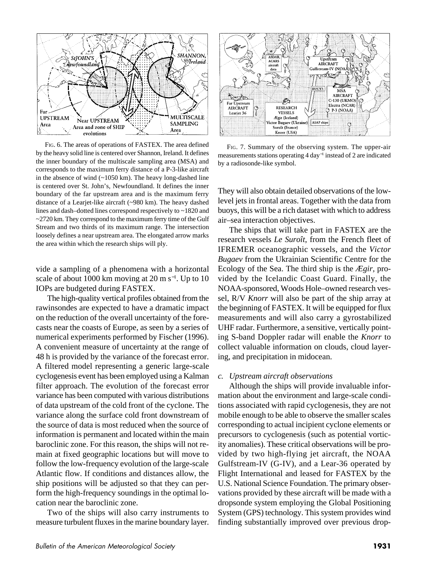

FIG. 6. The areas of operations of FASTEX. The area defined by the heavy solid line is centered over Shannon, Ireland. It defines the inner boundary of the multiscale sampling area (MSA) and corresponds to the maximum ferry distance of a P-3-like aircraft in the absence of wind  $(\sim 1050 \text{ km})$ . The heavy long-dashed line is centered over St. John's, Newfoundland. It defines the inner boundary of the far upstream area and is the maximum ferry distance of a Learjet-like aircraft (~980 km). The heavy dashed lines and dash–dotted lines correspond respectively to ~1820 and ~2720 km. They correspond to the maximum ferry time of the Gulf Stream and two thirds of its maximum range. The intersection loosely defines a near upstream area. The elongated arrow marks the area within which the research ships will ply.

vide a sampling of a phenomena with a horizontal scale of about 1000 km moving at 20 m s<sup>-1</sup>. Up to 10 IOPs are budgeted during FASTEX.

The high-quality vertical profiles obtained from the rawinsondes are expected to have a dramatic impact on the reduction of the overall uncertainty of the forecasts near the coasts of Europe, as seen by a series of numerical experiments performed by Fischer (1996). A convenient measure of uncertainty at the range of 48 h is provided by the variance of the forecast error. A filtered model representing a generic large-scale cyclogenesis event has been employed using a Kalman filter approach. The evolution of the forecast error variance has been computed with various distributions of data upstream of the cold front of the cyclone. The variance along the surface cold front downstream of the source of data is most reduced when the source of information is permanent and located within the main baroclinic zone. For this reason, the ships will not remain at fixed geographic locations but will move to follow the low-frequency evolution of the large-scale Atlantic flow. If conditions and distances allow, the ship positions will be adjusted so that they can perform the high-frequency soundings in the optimal location near the baroclinic zone.

Two of the ships will also carry instruments to measure turbulent fluxes in the marine boundary layer.



FIG. 7. Summary of the observing system. The upper-air measurements stations operating 4 day<sup>-1</sup> instead of 2 are indicated by a radiosonde-like symbol.

They will also obtain detailed observations of the lowlevel jets in frontal areas. Together with the data from buoys, this will be a rich dataset with which to address air–sea interaction objectives.

The ships that will take part in FASTEX are the research vessels *Le Suroît*, from the French fleet of IFREMER oceanographic vessels, and the *Victor Bugaev* from the Ukrainian Scientific Centre for the Ecology of the Sea. The third ship is the *Ægir,* provided by the Icelandic Coast Guard. Finally, the NOAA-sponsored, Woods Hole–owned research vessel, R/V *Knorr* will also be part of the ship array at the beginning of FASTEX. It will be equipped for flux measurements and will also carry a gyrostabilized UHF radar. Furthermore, a sensitive, vertically pointing S-band Doppler radar will enable the *Knorr* to collect valuable information on clouds, cloud layering, and precipitation in midocean.

#### *c. Upstream aircraft observations*

Although the ships will provide invaluable information about the environment and large-scale conditions associated with rapid cyclogenesis, they are not mobile enough to be able to observe the smaller scales corresponding to actual incipient cyclone elements or precursors to cyclogenesis (such as potential vorticity anomalies). These critical observations will be provided by two high-flying jet aircraft, the NOAA Gulfstream-IV (G-IV), and a Lear-36 operated by Flight International and leased for FASTEX by the U.S. National Science Foundation. The primary observations provided by these aircraft will be made with a dropsonde system employing the Global Positioning System (GPS) technology. This system provides wind finding substantially improved over previous drop-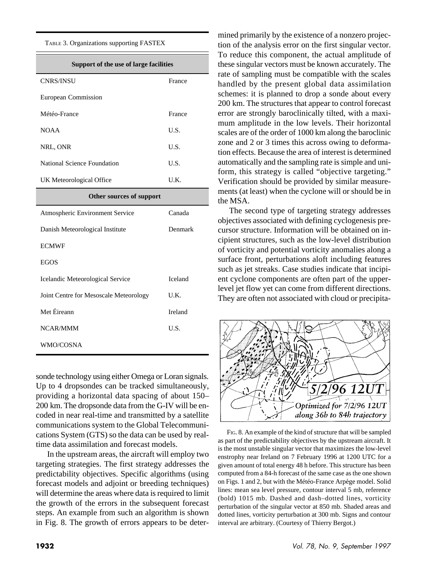#### TABLE 3. Organizations supporting FASTEX

| Support of the use of large facilities |         |  |  |
|----------------------------------------|---------|--|--|
| <b>CNRS/INSU</b>                       | France  |  |  |
| European Commission                    |         |  |  |
| Météo-France                           | France  |  |  |
| <b>NOAA</b>                            | U.S.    |  |  |
| NRL, ONR                               | U.S.    |  |  |
| National Science Foundation            | U.S.    |  |  |
| UK Meteorological Office               | U.K.    |  |  |
| Other sources of support               |         |  |  |
| Atmospheric Environment Service        | Canada  |  |  |
| Danish Meteorological Institute        | Denmark |  |  |
| <b>ECMWF</b>                           |         |  |  |
| <b>EGOS</b>                            |         |  |  |
| Icelandic Meteorological Service       | Iceland |  |  |
| Joint Centre for Mesoscale Meteorology | U.K.    |  |  |
| Met Éireann                            | Ireland |  |  |
| NCAR/MMM                               | U.S.    |  |  |
| WMO/COSNA                              |         |  |  |

sonde technology using either Omega or Loran signals. Up to 4 dropsondes can be tracked simultaneously, providing a horizontal data spacing of about 150– 200 km. The dropsonde data from the G-IV will be encoded in near real-time and transmitted by a satellite communications system to the Global Telecommunications System (GTS) so the data can be used by realtime data assimilation and forecast models.

In the upstream areas, the aircraft will employ two targeting strategies. The first strategy addresses the predictability objectives. Specific algorithms (using forecast models and adjoint or breeding techniques) will determine the areas where data is required to limit the growth of the errors in the subsequent forecast steps. An example from such an algorithm is shown in Fig. 8. The growth of errors appears to be determined primarily by the existence of a nonzero projection of the analysis error on the first singular vector. To reduce this component, the actual amplitude of these singular vectors must be known accurately. The rate of sampling must be compatible with the scales handled by the present global data assimilation schemes: it is planned to drop a sonde about every 200 km. The structures that appear to control forecast error are strongly baroclinically tilted, with a maximum amplitude in the low levels. Their horizontal scales are of the order of 1000 km along the baroclinic zone and 2 or 3 times this across owing to deformation effects. Because the area of interest is determined automatically and the sampling rate is simple and uniform, this strategy is called "objective targeting." Verification should be provided by similar measurements (at least) when the cyclone will or should be in the MSA.

The second type of targeting strategy addresses objectives associated with defining cyclogenesis precursor structure. Information will be obtained on incipient structures, such as the low-level distribution of vorticity and potential vorticity anomalies along a surface front, perturbations aloft including features such as jet streaks. Case studies indicate that incipient cyclone components are often part of the upperlevel jet flow yet can come from different directions. They are often not associated with cloud or precipita-



FIG. 8. An example of the kind of structure that will be sampled as part of the predictability objectives by the upstream aircraft. It is the most unstable singular vector that maximizes the low-level enstrophy near Ireland on 7 February 1996 at 1200 UTC for a given amount of total energy 48 h before. This structure has been computed from a 84-h forecast of the same case as the one shown on Figs. 1 and 2, but with the Météo-France Arpège model. Solid lines: mean sea level pressure, contour interval 5 mb, reference (bold) 1015 mb. Dashed and dash–dotted lines, vorticity perturbation of the singular vector at 850 mb. Shaded areas and dotted lines, vorticity perturbation at 300 mb. Signs and contour interval are arbitrary. (Courtesy of Thierry Bergot.)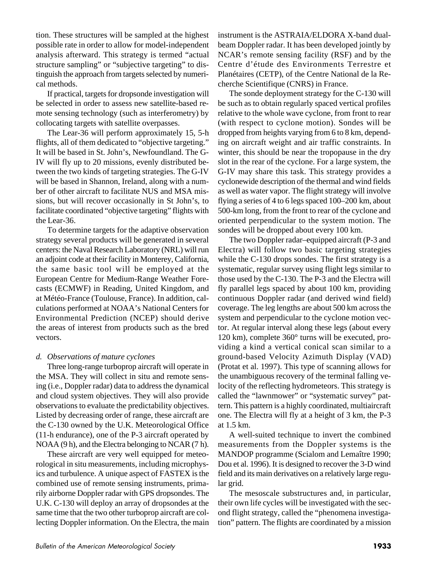tion. These structures will be sampled at the highest possible rate in order to allow for model-independent analysis afterward. This strategy is termed "actual structure sampling" or "subjective targeting" to distinguish the approach from targets selected by numerical methods.

If practical, targets for dropsonde investigation will be selected in order to assess new satellite-based remote sensing technology (such as interferometry) by collocating targets with satellite overpasses.

The Lear-36 will perform approximately 15, 5-h flights, all of them dedicated to "objective targeting." It will be based in St. John's, Newfoundland. The G-IV will fly up to 20 missions, evenly distributed between the two kinds of targeting strategies. The G-IV will be based in Shannon, Ireland, along with a number of other aircraft to facilitate NUS and MSA missions, but will recover occasionally in St John's, to facilitate coordinated "objective targeting" flights with the Lear-36.

To determine targets for the adaptive observation strategy several products will be generated in several centers: the Naval Research Laboratory (NRL) will run an adjoint code at their facility in Monterey, California, the same basic tool will be employed at the European Centre for Medium-Range Weather Forecasts (ECMWF) in Reading, United Kingdom, and at Météo-France (Toulouse, France). In addition, calculations performed at NOAA's National Centers for Environmental Prediction (NCEP) should derive the areas of interest from products such as the bred vectors.

# *d. Observations of mature cyclones*

Three long-range turboprop aircraft will operate in the MSA. They will collect in situ and remote sensing (i.e., Doppler radar) data to address the dynamical and cloud system objectives. They will also provide observations to evaluate the predictability objectives. Listed by decreasing order of range, these aircraft are the C-130 owned by the U.K. Meteorological Office (11-h endurance), one of the P-3 aircraft operated by NOAA (9 h), and the Electra belonging to NCAR (7 h).

These aircraft are very well equipped for meteorological in situ measurements, including microphysics and turbulence. A unique aspect of FASTEX is the combined use of remote sensing instruments, primarily airborne Doppler radar with GPS dropsondes. The U.K. C-130 will deploy an array of dropsondes at the same time that the two other turboprop aircraft are collecting Doppler information. On the Electra, the main instrument is the ASTRAIA/ELDORA X-band dualbeam Doppler radar. It has been developed jointly by NCAR's remote sensing facility (RSF) and by the Centre d'étude des Environments Terrestre et Planétaires (CETP), of the Centre National de la Recherche Scientifique (CNRS) in France.

The sonde deployment strategy for the C-130 will be such as to obtain regularly spaced vertical profiles relative to the whole wave cyclone, from front to rear (with respect to cyclone motion). Sondes will be dropped from heights varying from 6 to 8 km, depending on aircraft weight and air traffic constraints. In winter, this should be near the tropopause in the dry slot in the rear of the cyclone. For a large system, the G-IV may share this task. This strategy provides a cyclonewide description of the thermal and wind fields as well as water vapor. The flight strategy will involve flying a series of 4 to 6 legs spaced 100–200 km, about 500-km long, from the front to rear of the cyclone and oriented perpendicular to the system motion. The sondes will be dropped about every 100 km.

The two Doppler radar–equipped aircraft (P-3 and Electra) will follow two basic targeting strategies while the C-130 drops sondes. The first strategy is a systematic, regular survey using flight legs similar to those used by the C-130. The P-3 and the Electra will fly parallel legs spaced by about 100 km, providing continuous Doppler radar (and derived wind field) coverage. The leg lengths are about 500 km across the system and perpendicular to the cyclone motion vector. At regular interval along these legs (about every 120 km), complete 360° turns will be executed, providing a kind a vertical conical scan similar to a ground-based Velocity Azimuth Display (VAD) (Protat et al. 1997). This type of scanning allows for the unambiguous recovery of the terminal falling velocity of the reflecting hydrometeors. This strategy is called the "lawnmower" or "systematic survey" pattern. This pattern is a highly coordinated, multiaircraft one. The Electra will fly at a height of 3 km, the P-3 at 1.5 km.

A well-suited technique to invert the combined measurements from the Doppler systems is the MANDOP programme (Scialom and Lemaître 1990; Dou et al. 1996). It is designed to recover the 3-D wind field and its main derivatives on a relatively large regular grid.

The mesoscale substructures and, in particular, their own life cycles will be investigated with the second flight strategy, called the "phenomena investigation" pattern. The flights are coordinated by a mission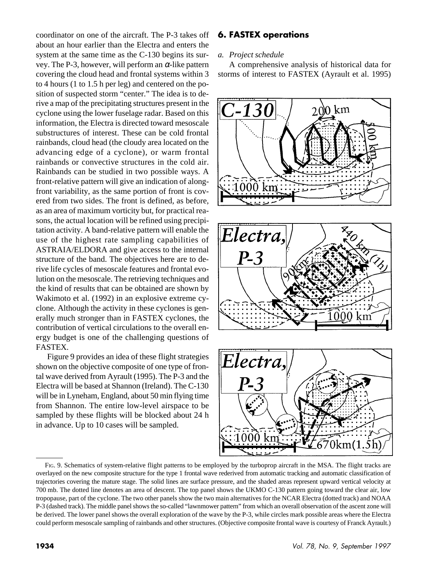coordinator on one of the aircraft. The P-3 takes off about an hour earlier than the Electra and enters the system at the same time as the C-130 begins its survey. The P-3, however, will perform an  $\alpha$ -like pattern covering the cloud head and frontal systems within 3 to 4 hours (1 to 1.5 h per leg) and centered on the position of suspected storm "center." The idea is to derive a map of the precipitating structures present in the cyclone using the lower fuselage radar. Based on this information, the Electra is directed toward mesoscale substructures of interest. These can be cold frontal rainbands, cloud head (the cloudy area located on the advancing edge of a cyclone), or warm frontal rainbands or convective structures in the cold air. Rainbands can be studied in two possible ways. A front-relative pattern will give an indication of alongfront variability, as the same portion of front is covered from two sides. The front is defined, as before, as an area of maximum vorticity but, for practical reasons, the actual location will be refined using precipitation activity. A band-relative pattern will enable the use of the highest rate sampling capabilities of ASTRAIA/ELDORA and give access to the internal structure of the band. The objectives here are to derive life cycles of mesoscale features and frontal evolution on the mesoscale. The retrieving techniques and the kind of results that can be obtained are shown by Wakimoto et al. (1992) in an explosive extreme cyclone. Although the activity in these cyclones is generally much stronger than in FASTEX cyclones, the contribution of vertical circulations to the overall energy budget is one of the challenging questions of FASTEX.

Figure 9 provides an idea of these flight strategies shown on the objective composite of one type of frontal wave derived from Ayrault (1995). The P-3 and the Electra will be based at Shannon (Ireland). The C-130 will be in Lyneham, England, about 50 min flying time from Shannon. The entire low-level airspace to be sampled by these flights will be blocked about 24 h in advance. Up to 10 cases will be sampled.

# **6. FASTEX operations**

#### *a. Project schedule*

A comprehensive analysis of historical data for storms of interest to FASTEX (Ayrault et al. 1995)



FIG. 9. Schematics of system-relative flight patterns to be employed by the turboprop aircraft in the MSA. The flight tracks are overlayed on the new composite structure for the type 1 frontal wave rederived from automatic tracking and automatic classification of trajectories covering the mature stage. The solid lines are surface pressure, and the shaded areas represent upward vertical velocity at 700 mb. The dotted line denotes an area of descent. The top panel shows the UKMO C-130 pattern going toward the clear air, low tropopause, part of the cyclone. The two other panels show the two main alternatives for the NCAR Electra (dotted track) and NOAA P-3 (dashed track). The middle panel shows the so-called "lawnmower pattern" from which an overall observation of the ascent zone will be derived. The lower panel shows the overall exploration of the wave by the P-3, while circles mark possible areas where the Electra could perform mesoscale sampling of rainbands and other structures. (Objective composite frontal wave is courtesy of Franck Ayrault.)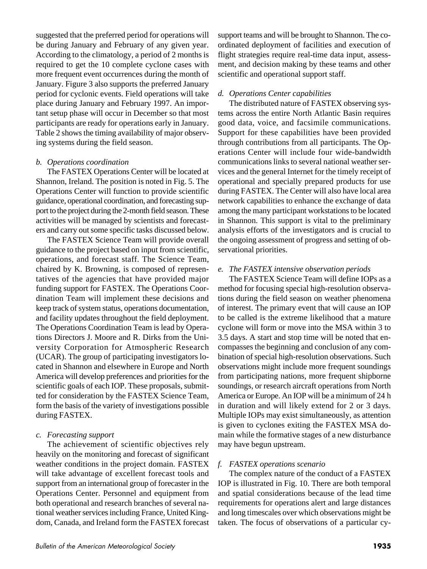suggested that the preferred period for operations will be during January and February of any given year. According to the climatology, a period of 2 months is required to get the 10 complete cyclone cases with more frequent event occurrences during the month of January. Figure 3 also supports the preferred January period for cyclonic events. Field operations will take place during January and February 1997. An important setup phase will occur in December so that most participants are ready for operations early in January. Table 2 shows the timing availability of major observing systems during the field season.

# *b. Operations coordination*

The FASTEX Operations Center will be located at Shannon, Ireland. The position is noted in Fig. 5. The Operations Center will function to provide scientific guidance, operational coordination, and forecasting support to the project during the 2-month field season. These activities will be managed by scientists and forecasters and carry out some specific tasks discussed below.

The FASTEX Science Team will provide overall guidance to the project based on input from scientific, operations, and forecast staff. The Science Team, chaired by K. Browning, is composed of representatives of the agencies that have provided major funding support for FASTEX. The Operations Coordination Team will implement these decisions and keep track of system status, operations documentation, and facility updates throughout the field deployment. The Operations Coordination Team is lead by Operations Directors J. Moore and R. Dirks from the University Corporation for Atmospheric Research (UCAR). The group of participating investigators located in Shannon and elsewhere in Europe and North America will develop preferences and priorities for the scientific goals of each IOP. These proposals, submitted for consideration by the FASTEX Science Team, form the basis of the variety of investigations possible during FASTEX.

# *c. Forecasting support*

The achievement of scientific objectives rely heavily on the monitoring and forecast of significant weather conditions in the project domain. FASTEX will take advantage of excellent forecast tools and support from an international group of forecaster in the Operations Center. Personnel and equipment from both operational and research branches of several national weather services including France, United Kingdom, Canada, and Ireland form the FASTEX forecast

support teams and will be brought to Shannon. The coordinated deployment of facilities and execution of flight strategies require real-time data input, assessment, and decision making by these teams and other scientific and operational support staff.

# *d. Operations Center capabilities*

The distributed nature of FASTEX observing systems across the entire North Atlantic Basin requires good data, voice, and facsimile communications. Support for these capabilities have been provided through contributions from all participants. The Operations Center will include four wide-bandwidth communications links to several national weather services and the general Internet for the timely receipt of operational and specially prepared products for use during FASTEX. The Center will also have local area network capabilities to enhance the exchange of data among the many participant workstations to be located in Shannon. This support is vital to the preliminary analysis efforts of the investigators and is crucial to the ongoing assessment of progress and setting of observational priorities.

# *e. The FASTEX intensive observation periods*

The FASTEX Science Team will define IOPs as a method for focusing special high-resolution observations during the field season on weather phenomena of interest. The primary event that will cause an IOP to be called is the extreme likelihood that a mature cyclone will form or move into the MSA within 3 to 3.5 days. A start and stop time will be noted that encompasses the beginning and conclusion of any combination of special high-resolution observations. Such observations might include more frequent soundings from participating nations, more frequent shipborne soundings, or research aircraft operations from North America or Europe. An IOP will be a minimum of 24 h in duration and will likely extend for 2 or 3 days. Multiple IOPs may exist simultaneously, as attention is given to cyclones exiting the FASTEX MSA domain while the formative stages of a new disturbance may have begun upstream.

# *f. FASTEX operations scenario*

The complex nature of the conduct of a FASTEX IOP is illustrated in Fig. 10. There are both temporal and spatial considerations because of the lead time requirements for operations alert and large distances and long timescales over which observations might be taken. The focus of observations of a particular cy-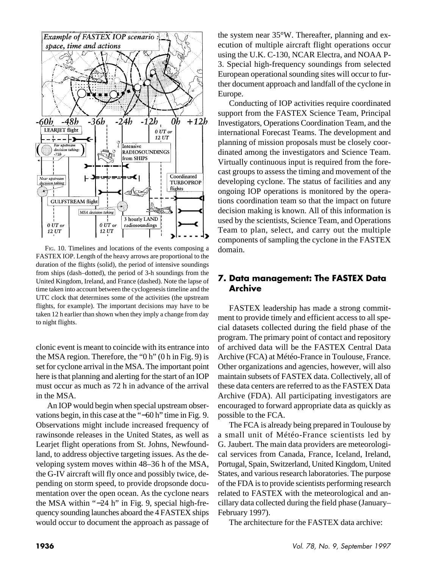

FIG. 10. Timelines and locations of the events composing a FASTEX IOP. Length of the heavy arrows are proportional to the duration of the flights (solid), the period of intensive soundings from ships (dash–dotted), the period of 3-h soundings from the United Kingdom, Ireland, and France (dashed). Note the lapse of time taken into account between the cyclogenesis timeline and the UTC clock that determines some of the activities (the upstream flights, for example). The important decisions may have to be taken 12 h earlier than shown when they imply a change from day to night flights.

clonic event is meant to coincide with its entrance into the MSA region. Therefore, the "0 h" (0 h in Fig. 9) is set for cyclone arrival in the MSA. The important point here is that planning and alerting for the start of an IOP must occur as much as 72 h in advance of the arrival in the MSA.

An IOP would begin when special upstream observations begin, in this case at the "−60 h" time in Fig. 9. Observations might include increased frequency of rawinsonde releases in the United States, as well as Learjet flight operations from St. Johns, Newfoundland, to address objective targeting issues. As the developing system moves within 48–36 h of the MSA, the G-IV aircraft will fly once and possibly twice, depending on storm speed, to provide dropsonde documentation over the open ocean. As the cyclone nears the MSA within "−24 h" in Fig. 9, special high-frequency sounding launches aboard the 4 FASTEX ships would occur to document the approach as passage of

the system near 35°W. Thereafter, planning and execution of multiple aircraft flight operations occur using the U.K. C-130, NCAR Electra, and NOAA P-3. Special high-frequency soundings from selected European operational sounding sites will occur to further document approach and landfall of the cyclone in Europe.

Conducting of IOP activities require coordinated support from the FASTEX Science Team, Principal Investigators, Operations Coordination Team, and the international Forecast Teams. The development and planning of mission proposals must be closely coordinated among the investigators and Science Team. Virtually continuous input is required from the forecast groups to assess the timing and movement of the developing cyclone. The status of facilities and any ongoing IOP operations is monitored by the operations coordination team so that the impact on future decision making is known. All of this information is used by the scientists, Science Team, and Operations Team to plan, select, and carry out the multiple components of sampling the cyclone in the FASTEX domain.

# **7. Data management: The FASTEX Data Archive**

FASTEX leadership has made a strong commitment to provide timely and efficient access to all special datasets collected during the field phase of the program. The primary point of contact and repository of archived data will be the FASTEX Central Data Archive (FCA) at Météo-France in Toulouse, France. Other organizations and agencies, however, will also maintain subsets of FASTEX data. Collectively, all of these data centers are referred to as the FASTEX Data Archive (FDA). All participating investigators are encouraged to forward appropriate data as quickly as possible to the FCA.

The FCA is already being prepared in Toulouse by a small unit of Météo-France scientists led by G. Jaubert. The main data providers are meteorological services from Canada, France, Iceland, Ireland, Portugal, Spain, Switzerland, United Kingdom, United States, and various research laboratories. The purpose of the FDA is to provide scientists performing research related to FASTEX with the meteorological and ancillary data collected during the field phase (January– February 1997).

The architecture for the FASTEX data archive: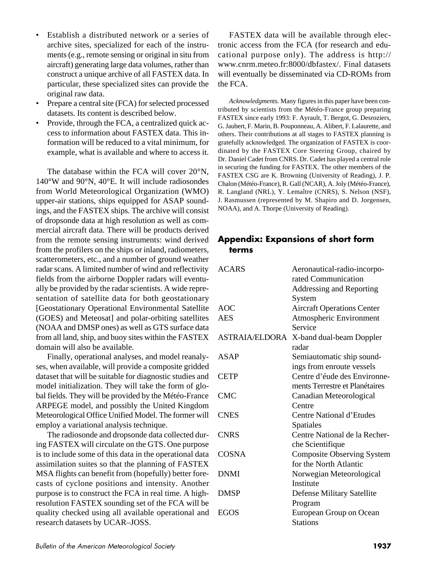- Establish a distributed network or a series of archive sites, specialized for each of the instruments (e.g., remote sensing or original in situ from aircraft) generating large data volumes, rather than construct a unique archive of all FASTEX data. In particular, these specialized sites can provide the original raw data.
- Prepare a central site (FCA) for selected processed datasets. Its content is described below.
- Provide, through the FCA, a centralized quick access to information about FASTEX data. This information will be reduced to a vital minimum, for example, what is available and where to access it.

The database within the FCA will cover 20°N, 140°W and 90°N, 40°E. It will include radiosondes from World Meteorological Organization (WMO) upper-air stations, ships equipped for ASAP soundings, and the FASTEX ships. The archive will consist of dropsonde data at high resolution as well as commercial aircraft data. There will be products derived from the remote sensing instruments: wind derived from the profilers on the ships or inland, radiometers, scatterometers, etc., and a number of ground weather radar scans. A limited number of wind and reflectivity fields from the airborne Doppler radars will eventually be provided by the radar scientists. A wide representation of satellite data for both geostationary [Geostationary Operational Environmental Satellite (GOES) and Meteosat] and polar-orbiting satellites (NOAA and DMSP ones) as well as GTS surface data from all land, ship, and buoy sites within the FASTEX domain will also be available.

Finally, operational analyses, and model reanalyses, when available, will provide a composite gridded dataset that will be suitable for diagnostic studies and model initialization. They will take the form of global fields. They will be provided by the Météo-France ARPEGE model, and possibly the United Kingdom Meteorological Office Unified Model. The former will employ a variational analysis technique.

The radiosonde and dropsonde data collected during FASTEX will circulate on the GTS. One purpose is to include some of this data in the operational data assimilation suites so that the planning of FASTEX MSA flights can benefit from (hopefully) better forecasts of cyclone positions and intensity. Another purpose is to construct the FCA in real time. A highresolution FASTEX sounding set of the FCA will be quality checked using all available operational and research datasets by UCAR–JOSS.

FASTEX data will be available through electronic access from the FCA (for research and educational purpose only). The address is http:// www.cnrm.meteo.fr:8000/dbfastex/. Final datasets will eventually be disseminated via CD-ROMs from the FCA.

*Acknowledgments.* Many figures in this paper have been contributed by scientists from the Météo-France group preparing FASTEX since early 1993: F. Ayrault, T. Bergot, G. Desroziers, G. Jaubert, F. Marin, B. Pouponneau, A. Alibert, F. Lalaurette, and others. Their contributions at all stages to FASTEX planning is gratefully acknowledged. The organization of FASTEX is coordinated by the FASTEX Core Steering Group, chaired by Dr. Daniel Cadet from CNRS. Dr. Cadet has played a central role in securing the funding for FASTEX. The other members of the FASTEX CSG are K. Browning (University of Reading), J. P. Chalon (Météo-France), R. Gall (NCAR), A. Joly (Météo-France), R. Langland (NRL), Y. Lemaître (CNRS), S. Nelson (NSF), J. Rasmussen (represented by M. Shapiro and D. Jorgensen, NOAA), and A. Thorpe (University of Reading).

# **Appendix: Expansions of short form terms**

| <b>ACARS</b>   | Aeronautical-radio-incorpo-       |
|----------------|-----------------------------------|
|                | rated Communication               |
|                | Addressing and Reporting          |
|                | System                            |
| AOC            | <b>Aircraft Operations Center</b> |
| AES            | Atmospheric Environment           |
|                | Service                           |
| ASTRAIA/ELDORA | X-band dual-beam Doppler          |
|                | radar                             |
| <b>ASAP</b>    | Semiautomatic ship sound-         |
|                | ings from enroute vessels         |
| <b>CETP</b>    | Centre d'éude des Environne-      |
|                | ments Terrestre et Planétaires    |
| CMC            | Canadian Meteorological           |
|                | Centre                            |
| <b>CNES</b>    | Centre National d'Etudes          |
|                | Spatiales                         |
| <b>CNRS</b>    | Centre National de la Recher-     |
|                | che Scientifique                  |
| COSNA          | <b>Composite Observing System</b> |
|                | for the North Atlantic            |
| DNMI           | Norwegian Meteorological          |
|                | Institute                         |
| DMSP           | Defense Military Satellite        |
|                | Program                           |
| EGOS           | European Group on Ocean           |
|                | <b>Stations</b>                   |
|                |                                   |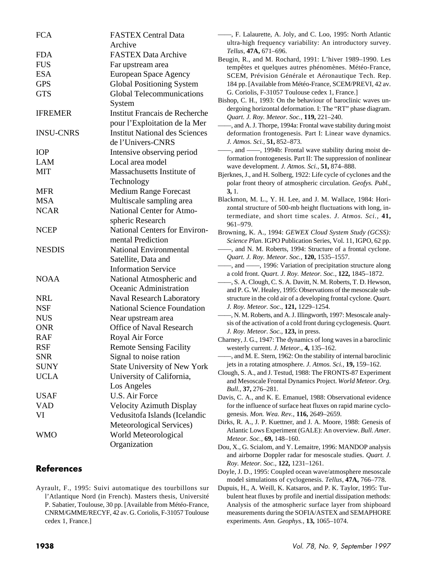| <b>FCA</b>       | <b>FASTEX Central Data</b><br>Archive | -, F. Lalaurette, A. Joly, and C. Loo, 1995: North Atlantic<br>ultra-high frequency variability: An introductory survey.           |
|------------------|---------------------------------------|------------------------------------------------------------------------------------------------------------------------------------|
| <b>FDA</b>       | <b>FASTEX Data Archive</b>            | Tellus, 47A, 671-696.                                                                                                              |
| <b>FUS</b>       | Far upstream area                     | Beugin, R., and M. Rochard, 1991: L'hiver 1989-1990. Les                                                                           |
| <b>ESA</b>       | European Space Agency                 | tempêtes et quelques autres phénomènes. Météo-France,<br>SCEM, Prévision Générale et Aéronautique Tech. Rep.                       |
| <b>GPS</b>       | Global Positioning System             | 184 pp. [Available from Météo-France, SCEM/PREVI, 42 av.                                                                           |
| <b>GTS</b>       | Global Telecommunications             | G. Coriolis, F-31057 Toulouse cedex 1, France.]                                                                                    |
|                  | System                                | Bishop, C. H., 1993: On the behaviour of baroclinic waves un-                                                                      |
| <b>IFREMER</b>   | Institut Francais de Recherche        | dergoing horizontal deformation. I: The "RT" phase diagram.                                                                        |
|                  |                                       | Quart. J. Roy. Meteor. Soc., 119, 221-240.                                                                                         |
|                  | pour l'Exploitation de la Mer         | -, and A. J. Thorpe, 1994a: Frontal wave stability during moist                                                                    |
| <b>INSU-CNRS</b> | <b>Institut National des Sciences</b> | deformation frontogenesis. Part I: Linear wave dynamics.                                                                           |
|                  | de l'Univers-CNRS                     | J. Atmos. Sci., 51, 852-873.<br>-, and -, 1994b: Frontal wave stability during moist de-                                           |
| <b>IOP</b>       | Intensive observing period            | formation frontogenesis. Part II: The suppression of nonlinear                                                                     |
| <b>LAM</b>       | Local area model                      | wave development. J. Atmos. Sci., 51, 874-888.                                                                                     |
| <b>MIT</b>       | Massachusetts Institute of            | Bjerknes, J., and H. Solberg, 1922: Life cycle of cyclones and the                                                                 |
|                  | Technology                            | polar front theory of atmospheric circulation. Geofys. Publ.,                                                                      |
| <b>MFR</b>       | <b>Medium Range Forecast</b>          | 3, 1.                                                                                                                              |
| <b>MSA</b>       | Multiscale sampling area              | Blackmon, M. L., Y. H. Lee, and J. M. Wallace, 1984: Hori-                                                                         |
| <b>NCAR</b>      | National Center for Atmo-             | zontal structure of 500-mb height fluctuations with long, in-                                                                      |
|                  | spheric Research                      | termediate, and short time scales. J. Atmos. Sci., 41,<br>961-979.                                                                 |
| <b>NCEP</b>      | National Centers for Environ-         | Browning, K. A., 1994: GEWEX Cloud System Study (GCSS):                                                                            |
|                  | mental Prediction                     | Science Plan. IGPO Publication Series, Vol. 11, IGPO, 62 pp.                                                                       |
| <b>NESDIS</b>    | <b>National Environmental</b>         | -, and N. M. Roberts, 1994: Structure of a frontal cyclone.                                                                        |
|                  | Satellite, Data and                   | Quart. J. Roy. Meteor. Soc., 120, 1535-1557.                                                                                       |
|                  | <b>Information Service</b>            | -, and -, 1996: Variation of precipitation structure along                                                                         |
| <b>NOAA</b>      | National Atmospheric and              | a cold front. Quart. J. Roy. Meteor. Soc., 122, 1845-1872.                                                                         |
|                  | Oceanic Administration                | -, S. A. Clough, C. S. A. Davitt, N. M. Roberts, T. D. Hewson,                                                                     |
| <b>NRL</b>       | Naval Research Laboratory             | and P. G. W. Healey, 1995: Observations of the mesoscale sub-<br>structure in the cold air of a developing frontal cyclone. Quart. |
| <b>NSF</b>       | <b>National Science Foundation</b>    | J. Roy. Meteor. Soc., 121, 1229-1254.                                                                                              |
| <b>NUS</b>       |                                       | -, N. M. Roberts, and A. J. Illingworth, 1997: Mesoscale analy-                                                                    |
|                  | Near upstream area                    | sis of the activation of a cold front during cyclogenesis. Quart.                                                                  |
| <b>ONR</b>       | Office of Naval Research              | J. Roy. Meteor. Soc., 123, in press.                                                                                               |
| <b>RAF</b>       | Royal Air Force                       | Charney, J. G., 1947: The dynamics of long waves in a baroclinic                                                                   |
| <b>RSF</b>       | <b>Remote Sensing Facility</b>        | westerly current. J. Meteor., 4, 135-162.                                                                                          |
| <b>SNR</b>       | Signal to noise ration                | -, and M. E. Stern, 1962: On the stability of internal baroclinic                                                                  |
| <b>SUNY</b>      | <b>State University of New York</b>   | jets in a rotating atmosphere. J. Atmos. Sci., 19, 159-162.<br>Clough, S. A., and J. Testud, 1988: The FRONTS-87 Experiment        |
| <b>UCLA</b>      | University of California,             | and Mesoscale Frontal Dynamics Project. World Meteor. Org.                                                                         |
|                  | Los Angeles                           | Bull., 37, 276-281.                                                                                                                |
| <b>USAF</b>      | U.S. Air Force                        | Davis, C. A., and K. E. Emanuel, 1988: Observational evidence                                                                      |
| <b>VAD</b>       | Velocity Azimuth Display              | for the influence of surface heat fluxes on rapid marine cyclo-                                                                    |
| VI               | Vedusitofa Islands (Icelandic         | genesis. Mon. Wea. Rev., 116, 2649-2659.                                                                                           |
|                  | Meteorological Services)              | Dirks, R. A., J. P. Kuettner, and J. A. Moore, 1988: Genesis of                                                                    |
| <b>WMO</b>       | World Meteorological                  | Atlantic Lows Experiment (GALE): An overview. Bull. Amer.                                                                          |
|                  | Organization                          | Meteor. Soc., 69, 148-160.<br>Dou, X., G. Scialom, and Y. Lemaitre, 1996: MANDOP analysis                                          |
|                  |                                       | and airborne Doppler radar for mesoscale studies. Quart. J.                                                                        |

# **References**

Ayrault, F., 1995: Suivi automatique des tourbillons sur l'Atlantique Nord (in French). Masters thesis, Université P. Sabatier, Toulouse, 30 pp. [Available from Météo-France, CNRM/GMME/RECYF, 42 av. G. Coriolis, F-31057 Toulouse cedex 1, France.]

*Roy. Meteor. Soc.,* **122,** 1231–1261.

experiments. *Ann. Geophys.,* **13,** 1065–1074.

Doyle, J. D., 1995: Coupled ocean wave/atmosphere mesoscale model simulations of cyclogenesis. *Tellus,* **47A,** 766–778. Dupuis, H., A. Weill, K. Katsaros, and P. K. Taylor, 1995: Turbulent heat fluxes by profile and inertial dissipation methods: Analysis of the atmospheric surface layer from shipboard measurements during the SOFIA/ASTEX and SEMAPHORE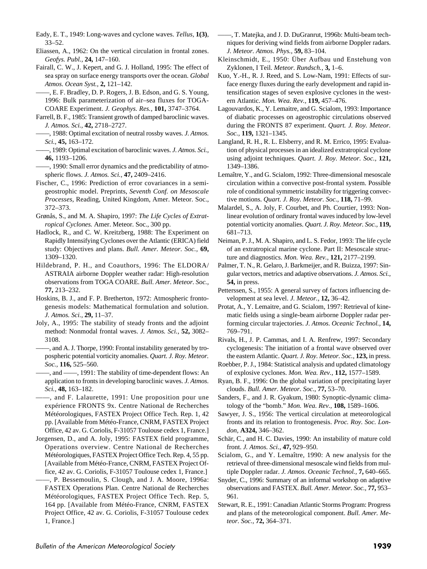- Eady, E. T., 1949: Long-waves and cyclone waves. *Tellus,* **1(3)**, 33–52.
- Eliassen, A., 1962: On the vertical circulation in frontal zones. *Geofys. Publ.,* **24,** 147–160.
- Fairall, C. W., J. Kepert, and G. J. Holland, 1995: The effect of sea spray on surface energy transports over the ocean. *Global Atmos. Ocean Syst.,* **2,** 121–142.
- ——, E. F. Bradley, D. P. Rogers, J. B. Edson, and G. S. Young, 1996: Bulk parameterization of air–sea fluxes for TOGA-COARE Experiment. *J. Geophys. Res.,* **101,** 3747–3764.
- Farrell, B. F., 1985: Transient growth of damped baroclinic waves. *J. Atmos. Sci.,* **42,** 2718–2727.
- ——, 1988: Optimal excitation of neutral rossby waves. *J. Atmos. Sci.,* **45,** 163–172.
- ——, 1989: Optimal excitation of baroclinic waves. *J. Atmos. Sci.,* **46,** 1193–1206.
- ——, 1990: Small error dynamics and the predictability of atmospheric flows. *J. Atmos. Sci.,* **47,** 2409–2416.
- Fischer, C., 1996: Prediction of error covariances in a semigeostrophic model. Preprints, *Seventh Conf. on Mesoscale Processes,* Reading, United Kingdom, Amer. Meteor. Soc., 372–373.
- Grønås, S., and M. A. Shapiro, 1997: *The Life Cycles of Extratropical Cyclones.* Amer. Meteor. Soc., 300 pp.
- Hadlock, R., and C. W. Kreitzberg, 1988: The Experiment on Rapidly Intensifying Cyclones over the Atlantic (ERICA) field study: Objectives and plans. *Bull. Amer. Meteor. Soc.,* **69,** 1309–1320.
- Hildebrand, P. H., and Coauthors, 1996: The ELDORA/ ASTRAIA airborne Doppler weather radar: High-resolution observations from TOGA COARE. *Bull. Amer. Meteor. Soc.,* **77,** 213–232.
- Hoskins, B. J., and F. P. Bretherton, 1972: Atmospheric frontogenesis models: Mathematical formulation and solution. *J. Atmos. Sci.*, **29,** 11–37.
- Joly, A., 1995: The stability of steady fronts and the adjoint method: Nonmodal frontal waves. *J. Atmos. Sci.,* **52,** 3082– 3108.
- ——, and A. J. Thorpe, 1990: Frontal instability generated by tropospheric potential vorticity anomalies. *Quart. J. Roy. Meteor. Soc.,* **116,** 525–560.
- ——, and ——, 1991: The stability of time-dependent flows: An application to fronts in developing baroclinic waves. *J. Atmos. Sci.,* **48,** 163–182.
- ——, and F. Lalaurette, 1991: Une proposition pour une expérience FRONTS 9x. Centre National de Recherches Météorologiques, FASTEX Project Office Tech. Rep. 1, 42 pp. [Available from Météo-France, CNRM, FASTEX Project Office, 42 av. G. Coriolis, F-31057 Toulouse cedex 1, France.]
- Jorgensen, D., and A. Joly, 1995: FASTEX field programme, Operations overview. Centre National de Recherches Météorologiques, FASTEX Project Office Tech. Rep. 4, 55 pp. [Available from Météo-France, CNRM, FASTEX Project Office, 42 av. G. Coriolis, F-31057 Toulouse cedex 1, France.] ——, P. Bessemoulin, S. Clough, and J. A. Moore, 1996a:
- FASTEX Operations Plan. Centre National de Recherches Météorologiques, FASTEX Project Office Tech. Rep. 5, 164 pp. [Available from Météo-France, CNRM, FASTEX Project Office, 42 av. G. Coriolis, F-31057 Toulouse cedex 1, France.]

——, T. Matejka, and J. D. DuGranrut, 1996b: Multi-beam techniques for deriving wind fields from airborne Doppler radars. *J. Meteor. Atmos. Phys.,* **59,** 83–104.

- Kleinschmidt, E., 1950: Über Aufbau und Enstehung von Zyklonen, I Teil. *Meteor. Rundsch.,* **3,** 1–6.
- Kuo, Y.-H., R. J. Reed, and S. Low-Nam, 1991: Effects of surface energy fluxes during the early development and rapid intensification stages of seven explosive cyclones in the western Atlantic. *Mon. Wea. Rev.,* **119,** 457–476.
- Lagouvardos, K., Y. Lemaitre, and G. Scialom, 1993: Importance of diabatic processes on ageostrophic circulations observed during the FRONTS 87 experiment. *Quart. J. Roy. Meteor. Soc.,* **119,** 1321–1345.
- Langland, R. H., R. L. Elsberry, and R. M. Errico, 1995: Evaluation of physical processes in an idealized extratropical cyclone using adjoint techniques. *Quart. J. Roy. Meteor. Soc.,* **121,** 1349–1386.
- Lemaître, Y., and G. Scialom, 1992: Three-dimensional mesoscale circulation within a convective post-frontal system. Possible role of conditional symmetric instability for triggering convective motions. *Quart. J. Roy. Meteor. Soc.,* **118,** 71–99.
- Malardel, S., A. Joly, F. Courbet, and Ph. Courtier, 1993: Nonlinear evolution of ordinary frontal waves induced by low-level potential vorticity anomalies. *Quart. J. Roy. Meteor. Soc.,* **119,** 681–713.
- Neiman, P. J., M. A. Shapiro, and L. S. Fedor, 1993: The life cycle of an extratropical marine cyclone. Part II: Mesoscale structure and diagnostics. *Mon. Wea. Rev.,* **121,** 2177–2199.
- Palmer, T. N., R. Gelaro, J. Barkmeijer, and R. Buizza, 1997: Singular vectors, metrics and adaptive observations. *J. Atmos. Sci.,* **54,** in press.
- Petterssen, S., 1955: A general survey of factors influencing development at sea level. *J. Meteor.,* **12,** 36–42.
- Protat, A., Y. Lemaitre, and G. Scialom, 1997: Retrieval of kinematic fields using a single-beam airborne Doppler radar performing circular trajectories. *J. Atmos. Oceanic Technol.,* **14,** 769–791.
- Rivals, H., J. P. Cammas, and I. A. Renfrew, 1997: Secondary cyclogenesis: The initiation of a frontal wave observed over the eastern Atlantic. *Quart. J. Roy. Meteor. Soc.,* **123,** in press.
- Roebber, P. J., 1984: Statistical analysis and updated climatology of explosive cyclones. *Mon. Wea. Rev.,* **112,** 1577–1589.
- Ryan, B. F., 1996: On the global variation of precipitating layer clouds. *Bull. Amer. Meteor. Soc.,* **77,** 53–70.
- Sanders, F., and J. R. Gyakum, 1980: Synoptic-dynamic climatology of the "bomb." *Mon. Wea. Rev.,* **108,** 1589–1606.
- Sawyer, J. S., 1956: The vertical circulation at meteorological fronts and its relation to frontogenesis. *Proc. Roy. Soc. London,* **A324,** 346–362.
- Schär, C., and H. C. Davies, 1990: An instability of mature cold front. *J. Atmos. Sci.,* **47,** 929–950.
- Scialom, G., and Y. Lemaître, 1990: A new analysis for the retrieval of three-dimensional mesoscale wind fields from multiple Doppler radar. *J. Atmos. Oceanic Technol.,* **7,** 640–665.
- Snyder, C., 1996: Summary of an informal workshop on adaptive observations and FASTEX. *Bull. Amer. Meteor. Soc.,* **77,** 953– 961.
- Stewart, R. E., 1991: Canadian Atlantic Storms Program: Progress and plans of the meteorological component. *Bull. Amer. Meteor. Soc.,* **72,** 364–371.